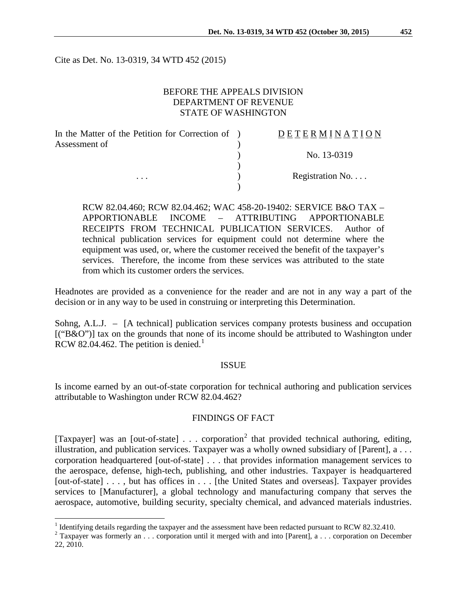Cite as Det. No. 13-0319, 34 WTD 452 (2015)

### BEFORE THE APPEALS DIVISION DEPARTMENT OF REVENUE STATE OF WASHINGTON

| In the Matter of the Petition for Correction of ) | <b>DETERMINATION</b> |
|---------------------------------------------------|----------------------|
| Assessment of                                     |                      |
|                                                   | No. 13-0319          |
|                                                   |                      |
| $\cdots$                                          | Registration No      |
|                                                   |                      |

RCW 82.04.460; RCW 82.04.462; WAC 458-20-19402: SERVICE B&O TAX – APPORTIONABLE INCOME – ATTRIBUTING APPORTIONABLE RECEIPTS FROM TECHNICAL PUBLICATION SERVICES. Author of technical publication services for equipment could not determine where the equipment was used, or, where the customer received the benefit of the taxpayer's services. Therefore, the income from these services was attributed to the state from which its customer orders the services.

Headnotes are provided as a convenience for the reader and are not in any way a part of the decision or in any way to be used in construing or interpreting this Determination.

Sohng, A.L.J. – [A technical] publication services company protests business and occupation [("B&O")] tax on the grounds that none of its income should be attributed to Washington under RCW 82.04.462. The petition is denied.<sup>[1](#page-0-0)</sup>

#### ISSUE

Is income earned by an out-of-state corporation for technical authoring and publication services attributable to Washington under RCW 82.04.462?

#### FINDINGS OF FACT

[Taxpayer] was an [out-of-state]  $\ldots$  corporation<sup>[2](#page-0-1)</sup> that provided technical authoring, editing, illustration, and publication services. Taxpayer was a wholly owned subsidiary of [Parent], a . . . corporation headquartered [out-of-state] . . . that provides information management services to the aerospace, defense, high-tech, publishing, and other industries. Taxpayer is headquartered [out-of-state] . . . , but has offices in . . . [the United States and overseas]. Taxpayer provides services to [Manufacturer], a global technology and manufacturing company that serves the aerospace, automotive, building security, specialty chemical, and advanced materials industries.

<span id="page-0-1"></span>

<span id="page-0-0"></span><sup>&</sup>lt;sup>1</sup> Identifying details regarding the taxpayer and the assessment have been redacted pursuant to RCW 82.32.410.<br><sup>2</sup> Taxpayer was formerly an . . . corporation until it merged with and into [Parent], a . . . corporation on 22, 2010.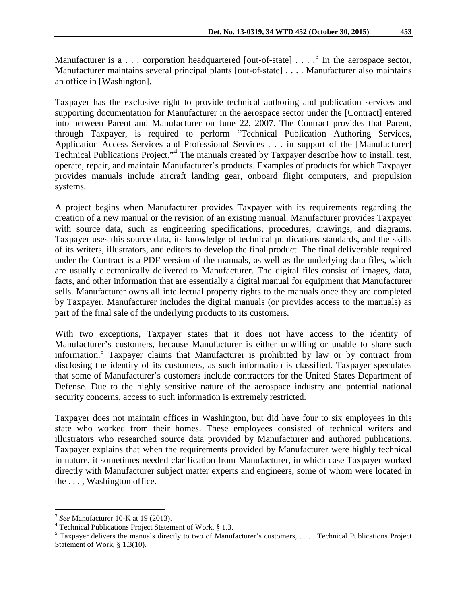Manufacturer is a . . . corporation headquartered [out-of-state]  $\dots$   $3$  In the aerospace sector, Manufacturer maintains several principal plants [out-of-state] . . . . Manufacturer also maintains an office in [Washington].

Taxpayer has the exclusive right to provide technical authoring and publication services and supporting documentation for Manufacturer in the aerospace sector under the [Contract] entered into between Parent and Manufacturer on June 22, 2007. The Contract provides that Parent, through Taxpayer, is required to perform "Technical Publication Authoring Services, Application Access Services and Professional Services . . . in support of the [Manufacturer] Technical Publications Project."[4](#page-1-1) The manuals created by Taxpayer describe how to install, test, operate, repair, and maintain Manufacturer's products. Examples of products for which Taxpayer provides manuals include aircraft landing gear, onboard flight computers, and propulsion systems.

A project begins when Manufacturer provides Taxpayer with its requirements regarding the creation of a new manual or the revision of an existing manual. Manufacturer provides Taxpayer with source data, such as engineering specifications, procedures, drawings, and diagrams. Taxpayer uses this source data, its knowledge of technical publications standards, and the skills of its writers, illustrators, and editors to develop the final product. The final deliverable required under the Contract is a PDF version of the manuals, as well as the underlying data files, which are usually electronically delivered to Manufacturer. The digital files consist of images, data, facts, and other information that are essentially a digital manual for equipment that Manufacturer sells. Manufacturer owns all intellectual property rights to the manuals once they are completed by Taxpayer. Manufacturer includes the digital manuals (or provides access to the manuals) as part of the final sale of the underlying products to its customers.

With two exceptions, Taxpayer states that it does not have access to the identity of Manufacturer's customers, because Manufacturer is either unwilling or unable to share such information. [5](#page-1-2) Taxpayer claims that Manufacturer is prohibited by law or by contract from disclosing the identity of its customers, as such information is classified. Taxpayer speculates that some of Manufacturer's customers include contractors for the United States Department of Defense. Due to the highly sensitive nature of the aerospace industry and potential national security concerns, access to such information is extremely restricted.

Taxpayer does not maintain offices in Washington, but did have four to six employees in this state who worked from their homes. These employees consisted of technical writers and illustrators who researched source data provided by Manufacturer and authored publications. Taxpayer explains that when the requirements provided by Manufacturer were highly technical in nature, it sometimes needed clarification from Manufacturer, in which case Taxpayer worked directly with Manufacturer subject matter experts and engineers, some of whom were located in the . . . , Washington office.

<span id="page-1-2"></span><span id="page-1-1"></span>

<span id="page-1-0"></span><sup>&</sup>lt;sup>3</sup> See Manufacturer 10-K at 19 (2013).<br>
<sup>4</sup> Technical Publications Project Statement of Work, § 1.3.<br>
<sup>5</sup> Taxpayer delivers the manuals directly to two of Manufacturer's customers, . . . . Technical Publications Project Statement of Work, § 1.3(10).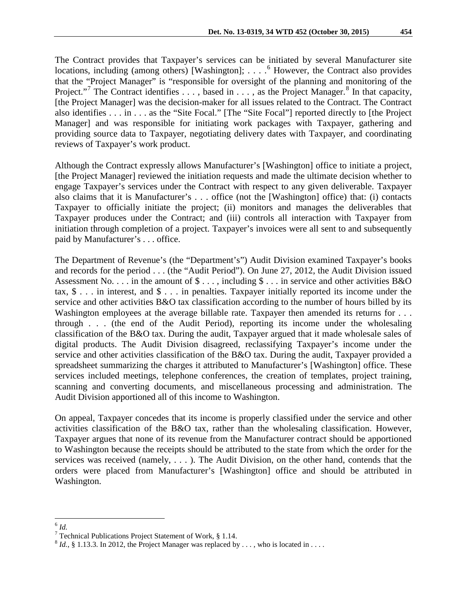The Contract provides that Taxpayer's services can be initiated by several Manufacturer site locations, including (among others) [Washington]; . . . . <sup>[6](#page-2-0)</sup> However, the Contract also provides that the "Project Manager" is "responsible for oversight of the planning and monitoring of the Project."<sup>[7](#page-2-1)</sup> The Contract identifies  $\dots$ , based in  $\dots$ , as the Project Manager.<sup>[8](#page-2-2)</sup> In that capacity, [the Project Manager] was the decision-maker for all issues related to the Contract. The Contract also identifies . . . in . . . as the "Site Focal." [The "Site Focal"] reported directly to [the Project Manager] and was responsible for initiating work packages with Taxpayer, gathering and providing source data to Taxpayer, negotiating delivery dates with Taxpayer, and coordinating reviews of Taxpayer's work product.

Although the Contract expressly allows Manufacturer's [Washington] office to initiate a project, [the Project Manager] reviewed the initiation requests and made the ultimate decision whether to engage Taxpayer's services under the Contract with respect to any given deliverable. Taxpayer also claims that it is Manufacturer's . . . office (not the [Washington] office) that: (i) contacts Taxpayer to officially initiate the project; (ii) monitors and manages the deliverables that Taxpayer produces under the Contract; and (iii) controls all interaction with Taxpayer from initiation through completion of a project. Taxpayer's invoices were all sent to and subsequently paid by Manufacturer's . . . office.

The Department of Revenue's (the "Department's") Audit Division examined Taxpayer's books and records for the period . . . (the "Audit Period"). On June 27, 2012, the Audit Division issued Assessment No. . . . in the amount of  $\$\ldots$ , including  $\$\ldots$  in service and other activities B&O tax, \$ . . . in interest, and \$ . . . in penalties. Taxpayer initially reported its income under the service and other activities B&O tax classification according to the number of hours billed by its Washington employees at the average billable rate. Taxpayer then amended its returns for . . . through . . . (the end of the Audit Period), reporting its income under the wholesaling classification of the B&O tax. During the audit, Taxpayer argued that it made wholesale sales of digital products. The Audit Division disagreed, reclassifying Taxpayer's income under the service and other activities classification of the B&O tax. During the audit, Taxpayer provided a spreadsheet summarizing the charges it attributed to Manufacturer's [Washington] office. These services included meetings, telephone conferences, the creation of templates, project training, scanning and converting documents, and miscellaneous processing and administration. The Audit Division apportioned all of this income to Washington.

On appeal, Taxpayer concedes that its income is properly classified under the service and other activities classification of the B&O tax, rather than the wholesaling classification. However, Taxpayer argues that none of its revenue from the Manufacturer contract should be apportioned to Washington because the receipts should be attributed to the state from which the order for the services was received (namely, . . . ). The Audit Division, on the other hand, contends that the orders were placed from Manufacturer's [Washington] office and should be attributed in Washington.

<span id="page-2-1"></span><span id="page-2-0"></span> $\frac{6}{7}$ *Id.*<br> $\frac{7}{7}$  Technical Publications Project Statement of Work, § 1.14.

<span id="page-2-2"></span> $8$  *Id.*, § 1.13.3. In 2012, the Project Manager was replaced by . . . , who is located in . . . .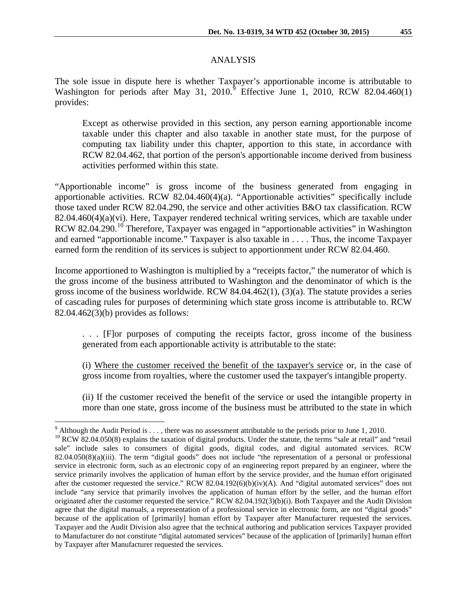## ANALYSIS

The sole issue in dispute here is whether Taxpayer's apportionable income is attributable to Washington for periods after May 31, 2010.<sup>[9](#page-3-0)</sup> Effective June 1, 2010, RCW 82.04.460(1) provides:

Except as otherwise provided in this section, any person earning apportionable income taxable under this chapter and also taxable in another state must, for the purpose of computing tax liability under this chapter, apportion to this state, in accordance with RCW [82.04.462,](http://apps.leg.wa.gov/rcw/default.aspx?cite=82.04.462) that portion of the person's apportionable income derived from business activities performed within this state.

"Apportionable income" is gross income of the business generated from engaging in apportionable activities. RCW 82.04.460(4)(a). "Apportionable activities" specifically include those taxed under RCW 82.04.290, the service and other activities B&O tax classification. RCW 82.04.460(4)(a)(vi). Here, Taxpayer rendered technical writing services, which are taxable under RCW 82.04.290.<sup>[10](#page-3-1)</sup> Therefore, Taxpayer was engaged in "apportionable activities" in Washington and earned "apportionable income." Taxpayer is also taxable in . . . . Thus, the income Taxpayer earned form the rendition of its services is subject to apportionment under RCW 82.04.460.

Income apportioned to Washington is multiplied by a "receipts factor," the numerator of which is the gross income of the business attributed to Washington and the denominator of which is the gross income of the business worldwide. RCW 84.04.462(1), (3)(a). The statute provides a series of cascading rules for purposes of determining which state gross income is attributable to. RCW 82.04.462(3)(b) provides as follows:

. . . [F]or purposes of computing the receipts factor, gross income of the business generated from each apportionable activity is attributable to the state:

(i) Where the customer received the benefit of the taxpayer's service or, in the case of gross income from royalties, where the customer used the taxpayer's intangible property.

(ii) If the customer received the benefit of the service or used the intangible property in more than one state, gross income of the business must be attributed to the state in which

<span id="page-3-1"></span><span id="page-3-0"></span><sup>&</sup>lt;sup>9</sup> Although the Audit Period is . . . , there was no assessment attributable to the periods prior to June 1, 2010.<br><sup>10</sup> RCW 82.04.050(8) explains the taxation of digital products. Under the statute, the terms "sale at re sale" include sales to consumers of digital goods, digital codes, and digital automated services. RCW  $82.04.050(8)(a)(iii)$ . The term "digital goods" does not include "the representation of a personal or professional service in electronic form, such as an electronic copy of an engineering report prepared by an engineer, where the service primarily involves the application of human effort by the service provider, and the human effort originated after the customer requested the service." RCW 82.04.192(6)(b)(iv)(A). And "digital automated services" does not include "any service that primarily involves the application of human effort by the seller, and the human effort originated after the customer requested the service." RCW 82.04.192(3)(b)(i). Both Taxpayer and the Audit Division agree that the digital manuals, a representation of a professional service in electronic form, are not "digital goods" because of the application of [primarily] human effort by Taxpayer after Manufacturer requested the services. Taxpayer and the Audit Division also agree that the technical authoring and publication services Taxpayer provided to Manufacturer do not constitute "digital automated services" because of the application of [primarily] human effort by Taxpayer after Manufacturer requested the services.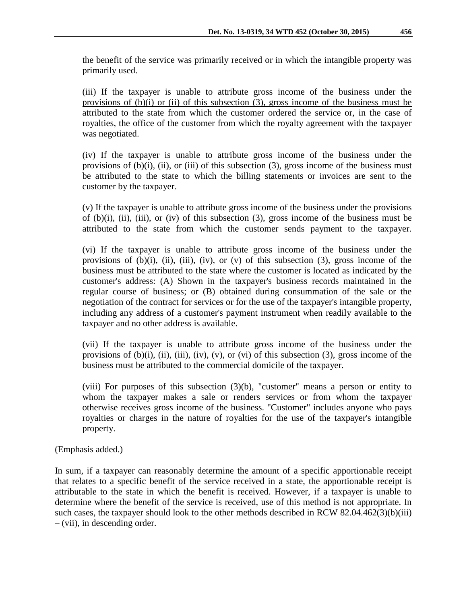the benefit of the service was primarily received or in which the intangible property was primarily used.

(iii) If the taxpayer is unable to attribute gross income of the business under the provisions of (b)(i) or (ii) of this subsection (3), gross income of the business must be attributed to the state from which the customer ordered the service or, in the case of royalties, the office of the customer from which the royalty agreement with the taxpayer was negotiated.

(iv) If the taxpayer is unable to attribute gross income of the business under the provisions of  $(b)(i)$ ,  $(ii)$ , or  $(iii)$  of this subsection  $(3)$ , gross income of the business must be attributed to the state to which the billing statements or invoices are sent to the customer by the taxpayer.

(v) If the taxpayer is unable to attribute gross income of the business under the provisions of  $(b)(i)$ ,  $(ii)$ ,  $(iii)$ , or  $(iv)$  of this subsection  $(3)$ , gross income of the business must be attributed to the state from which the customer sends payment to the taxpayer.

(vi) If the taxpayer is unable to attribute gross income of the business under the provisions of  $(b)(i)$ ,  $(ii)$ ,  $(iii)$ ,  $(iv)$ , or  $(v)$  of this subsection  $(3)$ , gross income of the business must be attributed to the state where the customer is located as indicated by the customer's address: (A) Shown in the taxpayer's business records maintained in the regular course of business; or (B) obtained during consummation of the sale or the negotiation of the contract for services or for the use of the taxpayer's intangible property, including any address of a customer's payment instrument when readily available to the taxpayer and no other address is available.

(vii) If the taxpayer is unable to attribute gross income of the business under the provisions of  $(b)(i)$ ,  $(ii)$ ,  $(iii)$ ,  $(iv)$ ,  $(v)$ , or  $(vi)$  of this subsection  $(3)$ , gross income of the business must be attributed to the commercial domicile of the taxpayer.

(viii) For purposes of this subsection (3)(b), "customer" means a person or entity to whom the taxpayer makes a sale or renders services or from whom the taxpayer otherwise receives gross income of the business. "Customer" includes anyone who pays royalties or charges in the nature of royalties for the use of the taxpayer's intangible property.

(Emphasis added.)

In sum, if a taxpayer can reasonably determine the amount of a specific apportionable receipt that relates to a specific benefit of the service received in a state, the apportionable receipt is attributable to the state in which the benefit is received. However, if a taxpayer is unable to determine where the benefit of the service is received, use of this method is not appropriate. In such cases, the taxpayer should look to the other methods described in RCW 82.04.462(3)(b)(iii) – (vii), in descending order.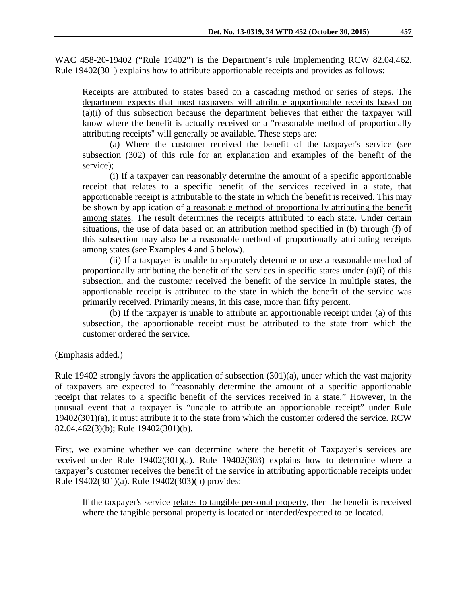WAC 458-20-19402 ("Rule 19402") is the Department's rule implementing RCW 82.04.462. Rule 19402(301) explains how to attribute apportionable receipts and provides as follows:

Receipts are attributed to states based on a cascading method or series of steps. The department expects that most taxpayers will attribute apportionable receipts based on (a)(i) of this subsection because the department believes that either the taxpayer will know where the benefit is actually received or a "reasonable method of proportionally attributing receipts" will generally be available. These steps are:

(a) Where the customer received the benefit of the taxpayer's service (see subsection (302) of this rule for an explanation and examples of the benefit of the service);

(i) If a taxpayer can reasonably determine the amount of a specific apportionable receipt that relates to a specific benefit of the services received in a state, that apportionable receipt is attributable to the state in which the benefit is received. This may be shown by application of a reasonable method of proportionally attributing the benefit among states. The result determines the receipts attributed to each state. Under certain situations, the use of data based on an attribution method specified in (b) through (f) of this subsection may also be a reasonable method of proportionally attributing receipts among states (see Examples 4 and 5 below).

(ii) If a taxpayer is unable to separately determine or use a reasonable method of proportionally attributing the benefit of the services in specific states under (a)(i) of this subsection, and the customer received the benefit of the service in multiple states, the apportionable receipt is attributed to the state in which the benefit of the service was primarily received. Primarily means, in this case, more than fifty percent.

(b) If the taxpayer is unable to attribute an apportionable receipt under (a) of this subsection, the apportionable receipt must be attributed to the state from which the customer ordered the service.

(Emphasis added.)

Rule 19402 strongly favors the application of subsection (301)(a), under which the vast majority of taxpayers are expected to "reasonably determine the amount of a specific apportionable receipt that relates to a specific benefit of the services received in a state." However, in the unusual event that a taxpayer is "unable to attribute an apportionable receipt" under Rule 19402(301)(a), it must attribute it to the state from which the customer ordered the service. RCW 82.04.462(3)(b); Rule 19402(301)(b).

First, we examine whether we can determine where the benefit of Taxpayer's services are received under Rule 19402(301)(a). Rule 19402(303) explains how to determine where a taxpayer's customer receives the benefit of the service in attributing apportionable receipts under Rule 19402(301)(a). Rule 19402(303)(b) provides:

If the taxpayer's service relates to tangible personal property, then the benefit is received where the tangible personal property is located or intended/expected to be located.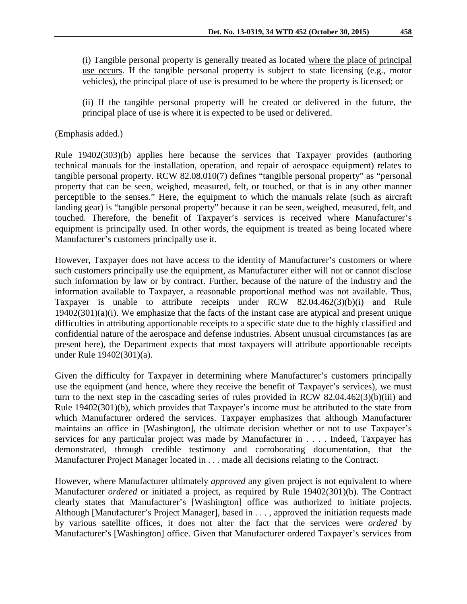(i) Tangible personal property is generally treated as located where the place of principal use occurs. If the tangible personal property is subject to state licensing (e.g., motor vehicles), the principal place of use is presumed to be where the property is licensed; or

(ii) If the tangible personal property will be created or delivered in the future, the principal place of use is where it is expected to be used or delivered.

(Emphasis added.)

Rule 19402(303)(b) applies here because the services that Taxpayer provides (authoring technical manuals for the installation, operation, and repair of aerospace equipment) relates to tangible personal property. RCW 82.08.010(7) defines "tangible personal property" as "personal property that can be seen, weighed, measured, felt, or touched, or that is in any other manner perceptible to the senses." Here, the equipment to which the manuals relate (such as aircraft landing gear) is "tangible personal property" because it can be seen, weighed, measured, felt, and touched. Therefore, the benefit of Taxpayer's services is received where Manufacturer's equipment is principally used. In other words, the equipment is treated as being located where Manufacturer's customers principally use it.

However, Taxpayer does not have access to the identity of Manufacturer's customers or where such customers principally use the equipment, as Manufacturer either will not or cannot disclose such information by law or by contract. Further, because of the nature of the industry and the information available to Taxpayer, a reasonable proportional method was not available. Thus, Taxpayer is unable to attribute receipts under RCW 82.04.462(3)(b)(i) and Rule 19402(301)(a)(i). We emphasize that the facts of the instant case are atypical and present unique difficulties in attributing apportionable receipts to a specific state due to the highly classified and confidential nature of the aerospace and defense industries. Absent unusual circumstances (as are present here), the Department expects that most taxpayers will attribute apportionable receipts under Rule 19402(301)(a).

Given the difficulty for Taxpayer in determining where Manufacturer's customers principally use the equipment (and hence, where they receive the benefit of Taxpayer's services), we must turn to the next step in the cascading series of rules provided in RCW 82.04.462(3)(b)(iii) and Rule 19402(301)(b), which provides that Taxpayer's income must be attributed to the state from which Manufacturer ordered the services. Taxpayer emphasizes that although Manufacturer maintains an office in [Washington], the ultimate decision whether or not to use Taxpayer's services for any particular project was made by Manufacturer in . . . . Indeed, Taxpayer has demonstrated, through credible testimony and corroborating documentation, that the Manufacturer Project Manager located in . . . made all decisions relating to the Contract.

However, where Manufacturer ultimately *approved* any given project is not equivalent to where Manufacturer *ordered* or initiated a project, as required by Rule 19402(301)(b). The Contract clearly states that Manufacturer's [Washington] office was authorized to initiate projects. Although [Manufacturer's Project Manager], based in . . . , approved the initiation requests made by various satellite offices, it does not alter the fact that the services were *ordered* by Manufacturer's [Washington] office. Given that Manufacturer ordered Taxpayer's services from